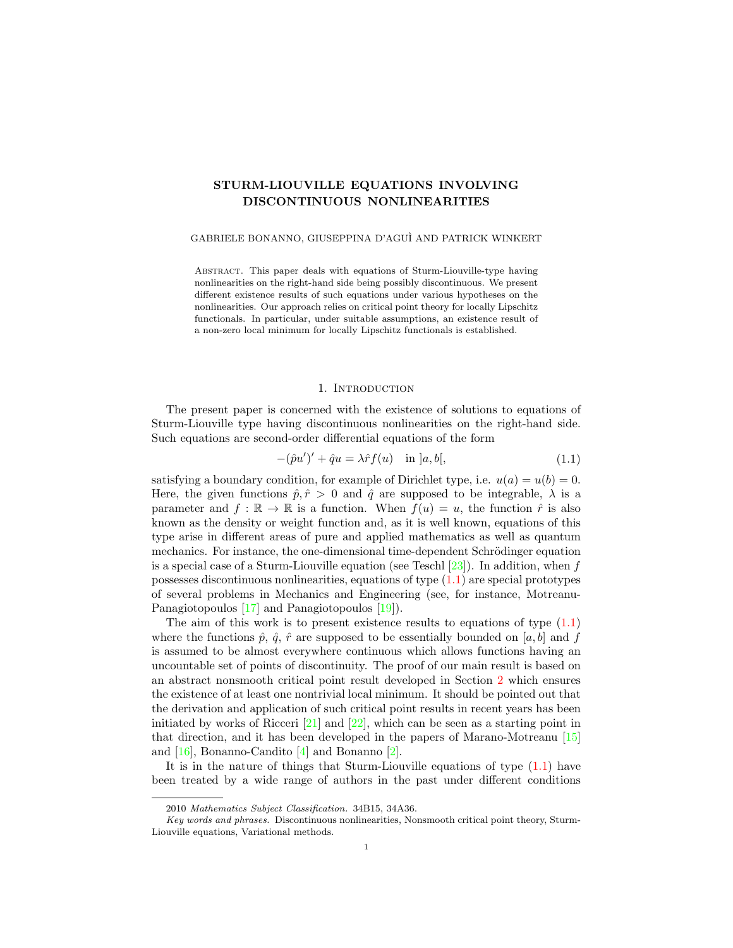# STURM-LIOUVILLE EQUATIONS INVOLVING DISCONTINUOUS NONLINEARITIES

# GABRIELE BONANNO, GIUSEPPINA D'AGU`I AND PATRICK WINKERT

Abstract. This paper deals with equations of Sturm-Liouville-type having nonlinearities on the right-hand side being possibly discontinuous. We present different existence results of such equations under various hypotheses on the nonlinearities. Our approach relies on critical point theory for locally Lipschitz functionals. In particular, under suitable assumptions, an existence result of a non-zero local minimum for locally Lipschitz functionals is established.

# 1. INTRODUCTION

The present paper is concerned with the existence of solutions to equations of Sturm-Liouville type having discontinuous nonlinearities on the right-hand side. Such equations are second-order differential equations of the form

<span id="page-0-0"></span>
$$
-(\hat{p}u')' + \hat{q}u = \lambda \hat{r}f(u) \quad \text{in } ]a, b[, \tag{1.1}
$$

satisfying a boundary condition, for example of Dirichlet type, i.e.  $u(a) = u(b) = 0$ . Here, the given functions  $\hat{p}, \hat{r} > 0$  and  $\hat{q}$  are supposed to be integrable,  $\lambda$  is a parameter and  $f : \mathbb{R} \to \mathbb{R}$  is a function. When  $f(u) = u$ , the function  $\hat{r}$  is also known as the density or weight function and, as it is well known, equations of this type arise in different areas of pure and applied mathematics as well as quantum mechanics. For instance, the one-dimensional time-dependent Schrödinger equation is a special case of a Sturm-Liouville equation (see Teschl  $[23]$ ). In addition, when f possesses discontinuous nonlinearities, equations of type [\(1.1\)](#page-0-0) are special prototypes of several problems in Mechanics and Engineering (see, for instance, Motreanu-Panagiotopoulos [\[17\]](#page-14-0) and Panagiotopoulos [\[19\]](#page-15-1)).

The aim of this work is to present existence results to equations of type [\(1.1\)](#page-0-0) where the functions  $\hat{p}, \hat{q}, \hat{r}$  are supposed to be essentially bounded on [a, b] and f is assumed to be almost everywhere continuous which allows functions having an uncountable set of points of discontinuity. The proof of our main result is based on an abstract nonsmooth critical point result developed in Section [2](#page-1-0) which ensures the existence of at least one nontrivial local minimum. It should be pointed out that the derivation and application of such critical point results in recent years has been initiated by works of Ricceri  $[21]$  and  $[22]$ , which can be seen as a starting point in that direction, and it has been developed in the papers of Marano-Motreanu [\[15\]](#page-14-1) and [\[16\]](#page-14-2), Bonanno-Candito [\[4\]](#page-14-3) and Bonanno [\[2\]](#page-14-4).

It is in the nature of things that Sturm-Liouville equations of type  $(1.1)$  have been treated by a wide range of authors in the past under different conditions

<sup>2010</sup> Mathematics Subject Classification. 34B15, 34A36.

Key words and phrases. Discontinuous nonlinearities, Nonsmooth critical point theory, Sturm-Liouville equations, Variational methods.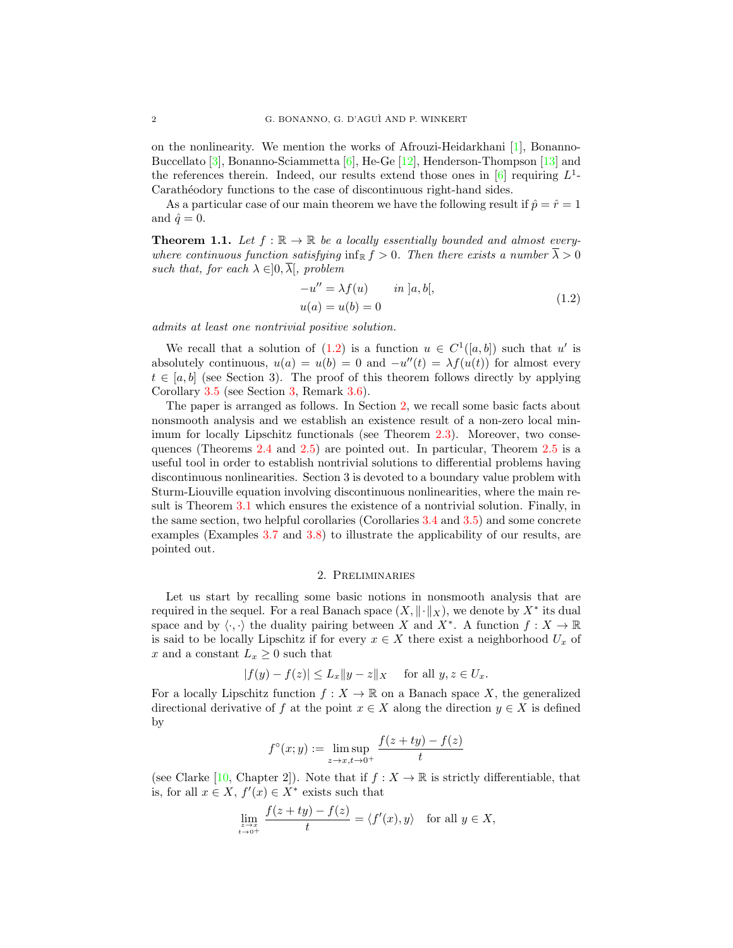on the nonlinearity. We mention the works of Afrouzi-Heidarkhani [\[1\]](#page-14-5), Bonanno-Buccellato [\[3\]](#page-14-6), Bonanno-Sciammetta  $[6]$ , He-Ge [\[12\]](#page-14-8), Henderson-Thompson [\[13\]](#page-14-9) and the references therein. Indeed, our results extend those ones in  $[6]$  requiring  $L^1$ -Carathéodory functions to the case of discontinuous right-hand sides.

As a particular case of our main theorem we have the following result if  $\hat{p} = \hat{r} = 1$ and  $\hat{q} = 0$ .

<span id="page-1-2"></span>**Theorem 1.1.** Let  $f : \mathbb{R} \to \mathbb{R}$  be a locally essentially bounded and almost everywhere continuous function satisfying inf<sub>R</sub>  $f > 0$ . Then there exists a number  $\overline{\lambda} > 0$ such that, for each  $\lambda \in ]0, \overline{\lambda}[,$  problem

<span id="page-1-1"></span>
$$
-u'' = \lambda f(u) \qquad in \ ]a, b[,
$$
  

$$
u(a) = u(b) = 0
$$
 (1.2)

admits at least one nontrivial positive solution.

We recall that a solution of  $(1.2)$  is a function  $u \in C^1([a, b])$  such that u' is absolutely continuous,  $u(a) = u(b) = 0$  and  $-u''(t) = \lambda f(u(t))$  for almost every  $t \in [a, b]$  (see Section 3). The proof of this theorem follows directly by applying Corollary [3.5](#page-12-0) (see Section [3,](#page-6-0) Remark [3.6\)](#page-13-0).

The paper is arranged as follows. In Section [2,](#page-1-0) we recall some basic facts about nonsmooth analysis and we establish an existence result of a non-zero local minimum for locally Lipschitz functionals (see Theorem [2.3\)](#page-3-0). Moreover, two consequences (Theorems [2.4](#page-4-0) and [2.5\)](#page-5-0) are pointed out. In particular, Theorem [2.5](#page-5-0) is a useful tool in order to establish nontrivial solutions to differential problems having discontinuous nonlinearities. Section 3 is devoted to a boundary value problem with Sturm-Liouville equation involving discontinuous nonlinearities, where the main result is Theorem [3.1](#page-7-0) which ensures the existence of a nontrivial solution. Finally, in the same section, two helpful corollaries (Corollaries [3.4](#page-12-1) and [3.5\)](#page-12-0) and some concrete examples (Examples [3.7](#page-13-1) and [3.8\)](#page-14-10) to illustrate the applicability of our results, are pointed out.

#### 2. Preliminaries

<span id="page-1-0"></span>Let us start by recalling some basic notions in nonsmooth analysis that are required in the sequel. For a real Banach space  $(X, \|\cdot\|_X)$ , we denote by  $X^*$  its dual space and by  $\langle \cdot, \cdot \rangle$  the duality pairing between X and  $X^*$ . A function  $f : X \to \mathbb{R}$ is said to be locally Lipschitz if for every  $x \in X$  there exist a neighborhood  $U_x$  of x and a constant  $L_x \geq 0$  such that

$$
|f(y) - f(z)| \le L_x \|y - z\|_X \quad \text{ for all } y, z \in U_x.
$$

For a locally Lipschitz function  $f: X \to \mathbb{R}$  on a Banach space X, the generalized directional derivative of f at the point  $x \in X$  along the direction  $y \in X$  is defined by

$$
f^{\circ}(x; y) := \limsup_{z \to x, t \to 0^+} \frac{f(z + ty) - f(z)}{t}
$$

(see Clarke [\[10,](#page-14-11) Chapter 2]). Note that if  $f : X \to \mathbb{R}$  is strictly differentiable, that is, for all  $x \in X$ ,  $f'(x) \in X^*$  exists such that

$$
\lim_{\substack{z \to x \\ t \to 0^+}} \frac{f(z+ty) - f(z)}{t} = \langle f'(x), y \rangle \quad \text{for all } y \in X,
$$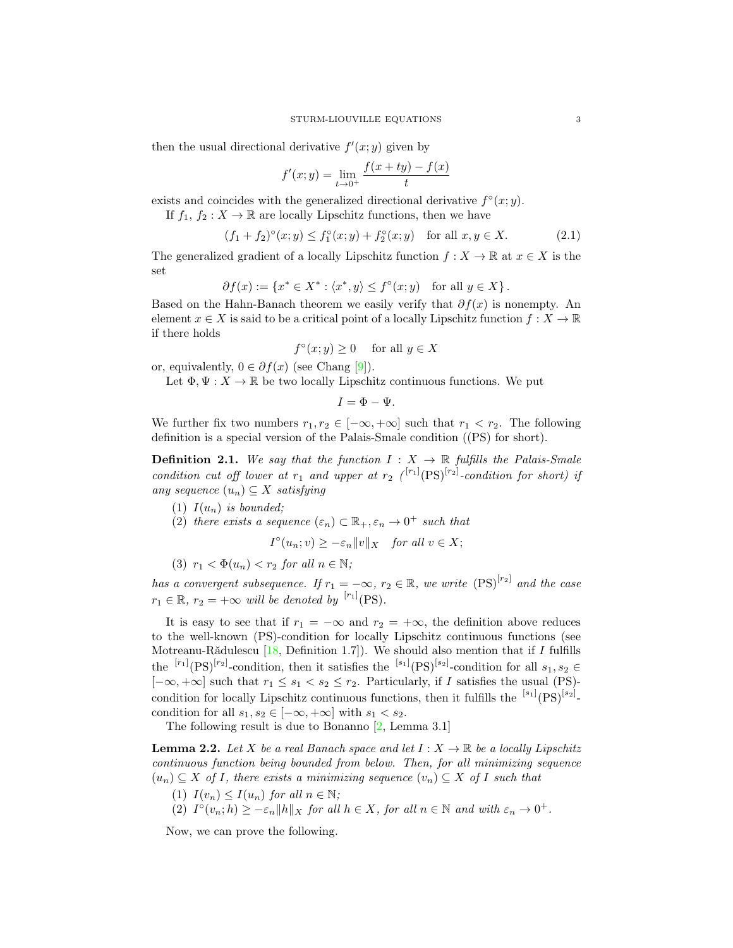then the usual directional derivative  $f'(x; y)$  given by

$$
f'(x; y) = \lim_{t \to 0^+} \frac{f(x + ty) - f(x)}{t}
$$

exists and coincides with the generalized directional derivative  $f^{\circ}(x; y)$ .

If  $f_1, f_2 : X \to \mathbb{R}$  are locally Lipschitz functions, then we have

$$
(f_1 + f_2)^{\circ}(x; y) \le f_1^{\circ}(x; y) + f_2^{\circ}(x; y) \quad \text{for all } x, y \in X. \tag{2.1}
$$

The generalized gradient of a locally Lipschitz function  $f : X \to \mathbb{R}$  at  $x \in X$  is the set

$$
\partial f(x) := \{ x^* \in X^* : \langle x^*, y \rangle \le f^{\circ}(x; y) \text{ for all } y \in X \}.
$$

Based on the Hahn-Banach theorem we easily verify that  $\partial f(x)$  is nonempty. An element  $x \in X$  is said to be a critical point of a locally Lipschitz function  $f: X \to \mathbb{R}$ if there holds

$$
f^{\circ}(x; y) \ge 0 \quad \text{ for all } y \in X
$$

or, equivalently,  $0 \in \partial f(x)$  (see Chang [\[9\]](#page-14-12)).

Let  $\Phi, \Psi : X \to \mathbb{R}$  be two locally Lipschitz continuous functions. We put

<span id="page-2-1"></span> $I = \Phi - \Psi.$ 

We further fix two numbers  $r_1, r_2 \in [-\infty, +\infty]$  such that  $r_1 < r_2$ . The following definition is a special version of the Palais-Smale condition ((PS) for short).

**Definition 2.1.** We say that the function  $I: X \rightarrow \mathbb{R}$  fulfills the Palais-Smale condition cut off lower at  $r_1$  and upper at  $r_2$  (<sup>[r<sub>1</sub>]</sup>(PS)<sup>[r<sub>2</sub>]</sup>-condition for short) if any sequence  $(u_n) \subseteq X$  satisfying

- (1)  $I(u_n)$  is bounded;
- (2) there exists a sequence  $(\varepsilon_n) \subset \mathbb{R}_+, \varepsilon_n \to 0^+$  such that

$$
I^{\circ}(u_n; v) \ge -\varepsilon_n \|v\|_X \quad \text{for all } v \in X;
$$

$$
(3) r_1 < \Phi(u_n) < r_2 \text{ for all } n \in \mathbb{N};
$$

has a convergent subsequence. If  $r_1 = -\infty$ ,  $r_2 \in \mathbb{R}$ , we write  $(PS)^{[r_2]}$  and the case  $r_1 \in \mathbb{R}, r_2 = +\infty$  will be denoted by <sup>[r<sub>1</sub>]</sup>(PS).

It is easy to see that if  $r_1 = -\infty$  and  $r_2 = +\infty$ , the definition above reduces to the well-known (PS)-condition for locally Lipschitz continuous functions (see Motreanu-Rădulescu  $[18,$  Definition 1.7]). We should also mention that if I fulfills the  $\frac{[r_1]}{(PS)}^{[r_2]}$ -condition, then it satisfies the  $\frac{[s_1]}{(PS)}^{[s_2]}$ -condition for all  $s_1, s_2 \in$  $[-\infty, +\infty]$  such that  $r_1 \leq s_1 < s_2 \leq r_2$ . Particularly, if I satisfies the usual (PS)condition for locally Lipschitz continuous functions, then it fulfills the  $[{}^{s_1}]$  $(PS)^{[s_2]}$ . condition for all  $s_1, s_2 \in [-\infty, +\infty]$  with  $s_1 < s_2$ .

The following result is due to Bonanno  $[2, \text{Lemma } 3.1]$  $[2, \text{Lemma } 3.1]$ 

<span id="page-2-0"></span>**Lemma 2.2.** Let X be a real Banach space and let  $I: X \to \mathbb{R}$  be a locally Lipschitz continuous function being bounded from below. Then, for all minimizing sequence  $(u_n) \subseteq X$  of I, there exists a minimizing sequence  $(v_n) \subseteq X$  of I such that

- (1)  $I(v_n) \leq I(u_n)$  for all  $n \in \mathbb{N}$ ;
- (2)  $I^{\circ}(v_n;h) \geq -\varepsilon_n \|h\|_X$  for all  $h \in X$ , for all  $n \in \mathbb{N}$  and with  $\varepsilon_n \to 0^+$ .

Now, we can prove the following.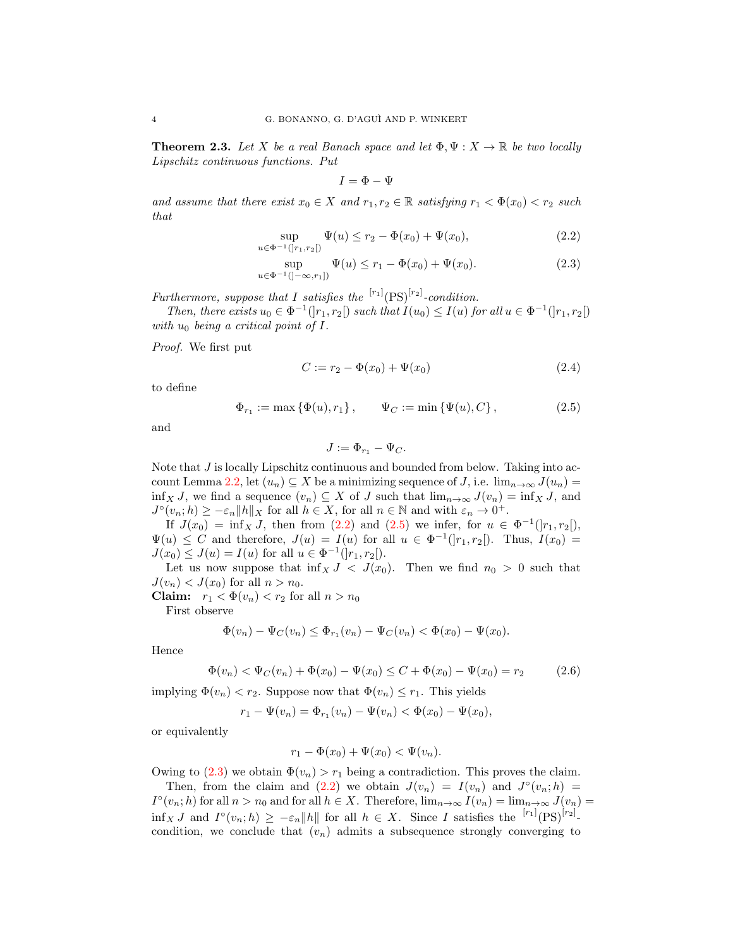<span id="page-3-0"></span>**Theorem 2.3.** Let X be a real Banach space and let  $\Phi, \Psi : X \to \mathbb{R}$  be two locally Lipschitz continuous functions. Put

<span id="page-3-3"></span><span id="page-3-1"></span>
$$
I=\Phi-\Psi
$$

and assume that there exist  $x_0 \in X$  and  $r_1, r_2 \in \mathbb{R}$  satisfying  $r_1 < \Phi(x_0) < r_2$  such that

$$
\sup_{u \in \Phi^{-1}(]r_1, r_2[)} \Psi(u) \le r_2 - \Phi(x_0) + \Psi(x_0), \tag{2.2}
$$

$$
\sup_{u \in \Phi^{-1}(]-\infty, r_1]} \Psi(u) \le r_1 - \Phi(x_0) + \Psi(x_0). \tag{2.3}
$$

Furthermore, suppose that I satisfies the  $\binom{[r_1]}{[PS]}$ -condition.

Then, there exists  $u_0 \in \Phi^{-1}(|r_1, r_2|)$  such that  $I(u_0) \leq I(u)$  for all  $u \in \Phi^{-1}(|r_1, r_2|)$ with  $u_0$  being a critical point of I.

Proof. We first put

$$
C := r_2 - \Phi(x_0) + \Psi(x_0)
$$
\n(2.4)

to define

$$
\Phi_{r_1} := \max\left\{\Phi(u), r_1\right\}, \qquad \Psi_C := \min\left\{\Psi(u), C\right\},\tag{2.5}
$$

and

<span id="page-3-4"></span><span id="page-3-2"></span>
$$
J:=\Phi_{r_1}-\Psi_C.
$$

Note that J is locally Lipschitz continuous and bounded from below. Taking into ac-count Lemma [2.2,](#page-2-0) let  $(u_n) \subseteq X$  be a minimizing sequence of J, i.e.  $\lim_{n \to \infty} J(u_n) =$ inf<sub>X</sub> J, we find a sequence  $(v_n) \subseteq X$  of J such that  $\lim_{n\to\infty} J(v_n) = \inf_X J$ , and  $J^{\circ}(v_n; h) \geq -\varepsilon_n \|h\|_X$  for all  $h \in X$ , for all  $n \in \mathbb{N}$  and with  $\varepsilon_n \to 0^+$ .

If  $J(x_0) = \inf_X J$ , then from [\(2.2\)](#page-3-1) and [\(2.5\)](#page-3-2) we infer, for  $u \in \Phi^{-1}(]r_1, r_2[$ ,  $\Psi(u) \leq C$  and therefore,  $J(u) = I(u)$  for all  $u \in \Phi^{-1}(|r_1, r_2|)$ . Thus,  $I(x_0) =$  $J(x_0) \leq J(u) = I(u)$  for all  $u \in \Phi^{-1}(]r_1, r_2[$ .

Let us now suppose that  $\inf_X J \leq J(x_0)$ . Then we find  $n_0 > 0$  such that  $J(v_n) < J(x_0)$  for all  $n > n_0$ .

Claim:  $r_1 < \Phi(v_n) < r_2$  for all  $n > n_0$ 

First observe

$$
\Phi(v_n) - \Psi_C(v_n) \le \Phi_{r_1}(v_n) - \Psi_C(v_n) < \Phi(x_0) - \Psi(x_0).
$$

Hence

$$
\Phi(v_n) < \Psi_C(v_n) + \Phi(x_0) - \Psi(x_0) \le C + \Phi(x_0) - \Psi(x_0) = r_2 \tag{2.6}
$$

implying  $\Phi(v_n) < r_2$ . Suppose now that  $\Phi(v_n) \leq r_1$ . This yields

$$
r_1 - \Psi(v_n) = \Phi_{r_1}(v_n) - \Psi(v_n) < \Phi(x_0) - \Psi(x_0),
$$

or equivalently

$$
r_1 - \Phi(x_0) + \Psi(x_0) < \Psi(v_n).
$$

Owing to [\(2.3\)](#page-3-3) we obtain  $\Phi(v_n) > r_1$  being a contradiction. This proves the claim.

Then, from the claim and [\(2.2\)](#page-3-1) we obtain  $J(v_n) = I(v_n)$  and  $J^{\circ}(v_n; h) =$  $I^{\circ}(v_n; h)$  for all  $n > n_0$  and for all  $h \in X$ . Therefore,  $\lim_{n \to \infty} I(v_n) = \lim_{n \to \infty} J(v_n) =$  $\inf_X J$  and  $I^{\circ}(v_n; h) \geq -\varepsilon_n \|h\|$  for all  $h \in X$ . Since I satisfies the  $[r_1]$  $(PS)^{[r_2]}$ . condition, we conclude that  $(v_n)$  admits a subsequence strongly converging to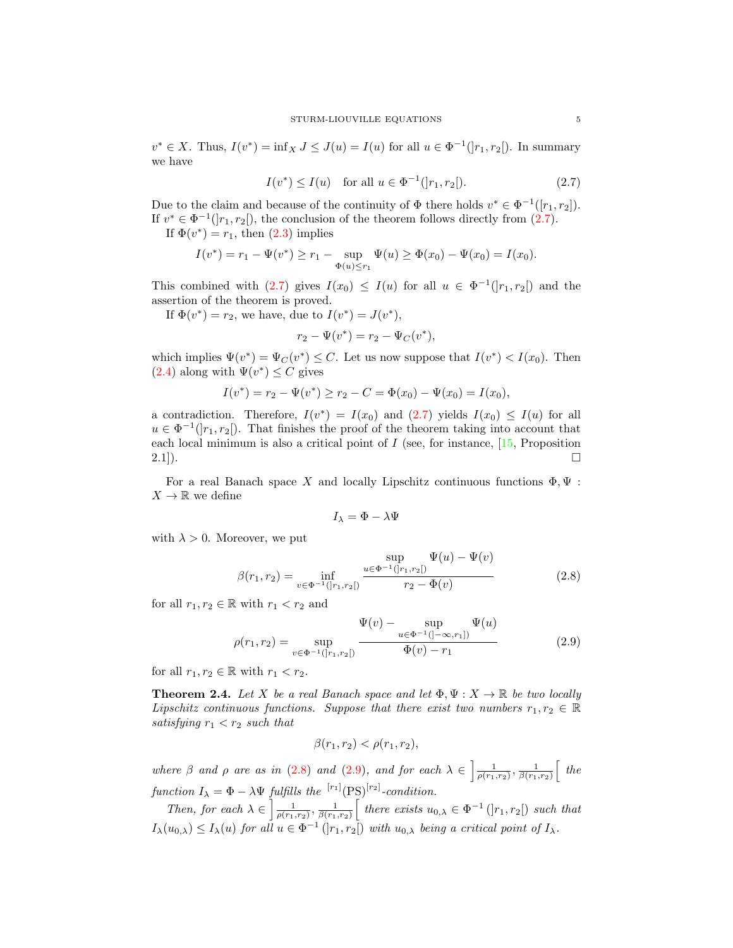$v^* \in X$ . Thus,  $I(v^*) = \inf_X J \leq J(u) = I(u)$  for all  $u \in \Phi^{-1}([r_1, r_2])$ . In summary we have

<span id="page-4-1"></span>
$$
I(v^*) \le I(u) \quad \text{for all } u \in \Phi^{-1}(|r_1, r_2|). \tag{2.7}
$$

Due to the claim and because of the continuity of  $\Phi$  there holds  $v^* \in \Phi^{-1}([r_1, r_2])$ . If  $v^* \in \Phi^{-1}(|r_1, r_2|)$ , the conclusion of the theorem follows directly from [\(2.7\)](#page-4-1).

If  $\Phi(v^*) = r_1$ , then  $(2.3)$  implies

$$
I(v^*) = r_1 - \Psi(v^*) \ge r_1 - \sup_{\Phi(u) \le r_1} \Psi(u) \ge \Phi(x_0) - \Psi(x_0) = I(x_0).
$$

This combined with [\(2.7\)](#page-4-1) gives  $I(x_0) \leq I(u)$  for all  $u \in \Phi^{-1}(|r_1, r_2|)$  and the assertion of the theorem is proved.

If  $\Phi(v^*) = r_2$ , we have, due to  $I(v^*) = J(v^*),$ 

$$
r_2 - \Psi(v^*) = r_2 - \Psi_C(v^*),
$$

which implies  $\Psi(v^*) = \Psi_C(v^*) \leq C$ . Let us now suppose that  $I(v^*) < I(x_0)$ . Then  $(2.4)$  along with  $\Psi(v^*) \leq C$  gives

$$
I(v^*) = r_2 - \Psi(v^*) \ge r_2 - C = \Phi(x_0) - \Psi(x_0) = I(x_0),
$$

a contradiction. Therefore,  $I(v^*) = I(x_0)$  and  $(2.7)$  yields  $I(x_0) \leq I(u)$  for all  $u \in \Phi^{-1}([r_1, r_2])$ . That finishes the proof of the theorem taking into account that each local minimum is also a critical point of  $I$  (see, for instance,  $[15,$  Proposition  $2.1$ ).

For a real Banach space X and locally Lipschitz continuous functions  $\Phi, \Psi$ :  $X \to \mathbb{R}$  we define

<span id="page-4-3"></span><span id="page-4-2"></span>
$$
I_{\lambda} = \Phi - \lambda \Psi
$$

with  $\lambda > 0$ . Moreover, we put

$$
\beta(r_1, r_2) = \inf_{v \in \Phi^{-1}(|r_1, r_2|)} \frac{\sup_{u \in \Phi^{-1}(|r_1, r_2|)} \Psi(u) - \Psi(v)}{r_2 - \Phi(v)}
$$
(2.8)

for all  $r_1, r_2 \in \mathbb{R}$  with  $r_1 < r_2$  and

$$
\rho(r_1, r_2) = \sup_{v \in \Phi^{-1}(|r_1, r_2|)} \frac{\Psi(v) - \sup_{u \in \Phi^{-1}(|-\infty, r_1|)} \Psi(u)}{\Phi(v) - r_1}
$$
(2.9)

for all  $r_1, r_2 \in \mathbb{R}$  with  $r_1 < r_2$ .

<span id="page-4-0"></span>**Theorem 2.4.** Let X be a real Banach space and let  $\Phi, \Psi : X \to \mathbb{R}$  be two locally Lipschitz continuous functions. Suppose that there exist two numbers  $r_1, r_2 \in \mathbb{R}$ satisfying  $r_1 < r_2$  such that

$$
\beta(r_1, r_2) < \rho(r_1, r_2),
$$

where  $\beta$  and  $\rho$  are as in [\(2.8\)](#page-4-2) and [\(2.9\)](#page-4-3), and for each  $\lambda \in \left[\frac{1}{\rho(r_1,r_2)},\frac{1}{\beta(r_1,r_2)}\right]$  the function  $I_{\lambda} = \Phi - \lambda \Psi$  fulfills the  $\binom{[r_1]}{[PS]}$ <sup>[r2]</sup>-condition.

Then, for each  $\lambda \in \left[\frac{1}{\rho(r_1,r_2)},\frac{1}{\beta(r_1,r_2)}\right]$  there exists  $u_{0,\lambda} \in \Phi^{-1}(\left[r_1,r_2\right])$  such that  $I_{\lambda}(u_{0,\lambda}) \leq I_{\lambda}(u)$  for all  $u \in \Phi^{-1}(|r_1, r_2|)$  with  $u_{0,\lambda}$  being a critical point of  $I_{\lambda}$ .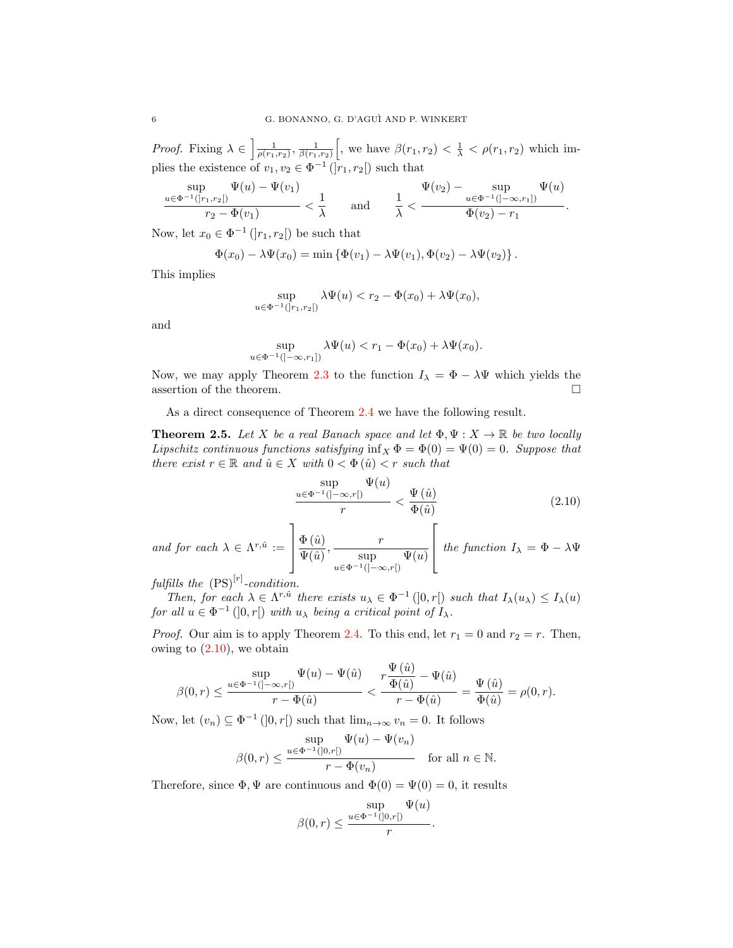*Proof.* Fixing  $\lambda \in \left[\frac{1}{\rho(r_1,r_2)}, \frac{1}{\beta(r_1,r_2)}\right]$ , we have  $\beta(r_1,r_2) < \frac{1}{\lambda} < \rho(r_1,r_2)$  which implies the existence of  $v_1, v_2 \in \Phi^{-1}(\overline{r}_1, r_2)$  such that

$$
\frac{\displaystyle\sup_{u\in\Phi^{-1}(]r_1,r_2[)}\Psi(u)-\Psi(v_1)}{r_2-\Phi(v_1)}<\frac{1}{\lambda}\qquad\text{and}\qquad\frac{1}{\lambda}<\frac{\Psi(v_2)-\displaystyle\sup_{u\in\Phi^{-1}(]-\infty,r_1[)}\Psi(u)}{\Phi(v_2)-r_1}.
$$

Now, let  $x_0 \in \Phi^{-1}(|r_1, r_2|)$  be such that

$$
\Phi(x_0) - \lambda \Psi(x_0) = \min \left\{ \Phi(v_1) - \lambda \Psi(v_1), \Phi(v_2) - \lambda \Psi(v_2) \right\}.
$$

This implies

$$
\sup_{u\in\Phi^{-1}(]r_1,r_2[)}\lambda\Psi(u)
$$

and

$$
\sup_{u \in \Phi^{-1}(]-\infty, r_1]} \lambda \Psi(u) < r_1 - \Phi(x_0) + \lambda \Psi(x_0).
$$

Now, we may apply Theorem [2.3](#page-3-0) to the function  $I_{\lambda} = \Phi - \lambda \Psi$  which yields the assertion of the theorem.  $\hfill \square$ 

As a direct consequence of Theorem [2.4](#page-4-0) we have the following result.

<span id="page-5-0"></span>**Theorem 2.5.** Let X be a real Banach space and let  $\Phi, \Psi : X \to \mathbb{R}$  be two locally Lipschitz continuous functions satisfying  $inf_X \Phi = \Phi(0) = \Psi(0) = 0$ . Suppose that there exist  $r \in \mathbb{R}$  and  $\hat{u} \in X$  with  $0 < \Phi(\hat{u}) < r$  such that

<span id="page-5-1"></span>
$$
\frac{\sup}{r} \frac{\Psi(u)}{r} < \frac{\Psi(\hat{u})}{\Phi(\hat{u})} \tag{2.10}
$$

and for each  $\lambda \in \Lambda^{r,\hat{u}} :=$ 1  $\overline{\phantom{a}}$  $\Phi\left(\hat{u}\right)$  $\frac{\Phi\left(\hat{u}\right)}{\Psi\!\left(\hat{u}\right)}, \frac{r}{\qquad\qquad \sup}$ sup  $u \in \Phi^{-1}([- \infty, r])$  $\Psi(u)$  $\sqrt{ }$ the function  $I_{\lambda} = \Phi - \lambda \Psi$ 

fulfills the  $(PS)^{[r]}$ -condition.

Then, for each  $\lambda \in \Lambda^{r,\hat{u}}$  there exists  $u_{\lambda} \in \Phi^{-1}(]0,r[)$  such that  $I_{\lambda}(u_{\lambda}) \leq I_{\lambda}(u)$ for all  $u \in \Phi^{-1}(]0,r[)$  with  $u_\lambda$  being a critical point of  $I_\lambda$ .

*Proof.* Our aim is to apply Theorem [2.4.](#page-4-0) To this end, let  $r_1 = 0$  and  $r_2 = r$ . Then, owing to  $(2.10)$ , we obtain

$$
\beta(0,r)\leq \frac{\displaystyle\sup_{u\in \Phi^{-1}(]-\infty,r[)}\Psi(u)-\Psi(\hat{u})}{r-\Phi(\hat{u})}<\frac{r\displaystyle\frac{\Psi\left(\hat{u}\right)}{\Phi(\hat{u})}-\Psi(\hat{u})}{r-\Phi(\hat{u})}=\frac{\Psi\left(\hat{u}\right)}{\Phi(\hat{u})}=\rho(0,r).
$$

Now, let  $(v_n) \subseteq \Phi^{-1}(]0, r[)$  such that  $\lim_{n \to \infty} v_n = 0$ . It follows

$$
\beta(0,r) \le \frac{\sup}{r - \Phi(v_n)} \frac{\Psi(u) - \Psi(v_n)}{r - \Phi(v_n)} \quad \text{for all } n \in \mathbb{N}.
$$

Therefore, since  $\Phi$ ,  $\Psi$  are continuous and  $\Phi(0) = \Psi(0) = 0$ , it results

$$
\beta(0,r) \le \frac{\sup}{r} \frac{\Psi(u)}{r}.
$$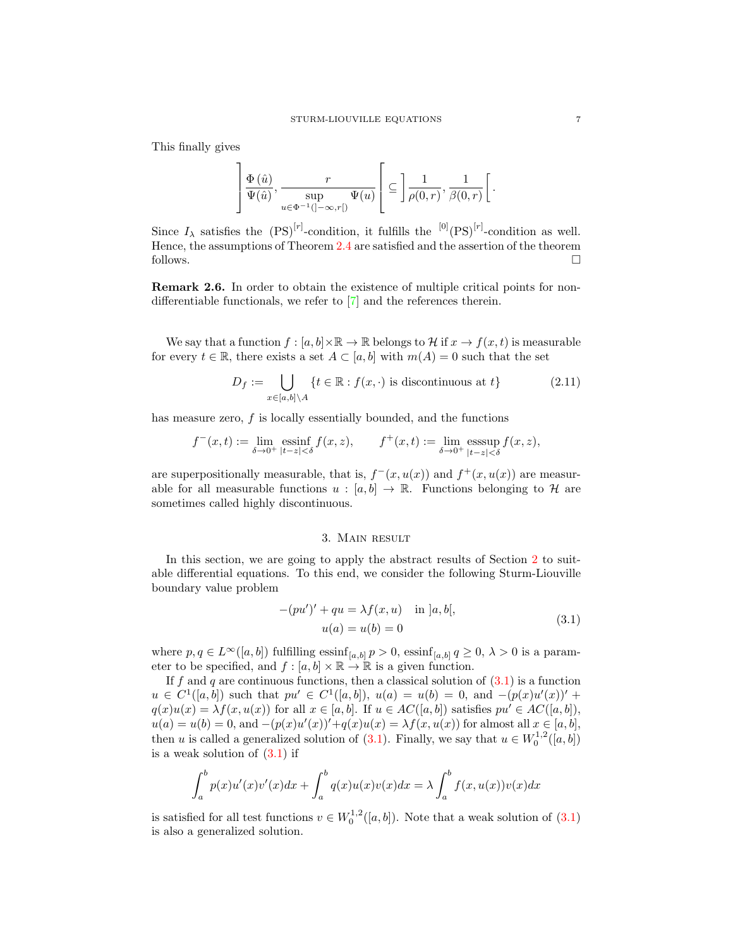This finally gives

$$
\left]\frac{\Phi\left(\hat{u}\right)}{\Psi(\hat{u})}, \frac{r}{\sup\limits_{u\in \Phi^{-1}(]-\infty,r[)}\Psi(u)}\right[\subseteq \left]\frac{1}{\rho(0,r)}, \frac{1}{\beta(0,r)}\right[.
$$

Since  $I_\lambda$  satisfies the  $(PS)^{[r]}$ -condition, it fulfills the  $[0]$  $(PS)^{[r]}$ -condition as well. Hence, the assumptions of Theorem [2.4](#page-4-0) are satisfied and the assertion of the theorem follows.  $\Box$ 

Remark 2.6. In order to obtain the existence of multiple critical points for nondifferentiable functionals, we refer to [\[7\]](#page-14-14) and the references therein.

We say that a function  $f : [a, b] \times \mathbb{R} \to \mathbb{R}$  belongs to H if  $x \to f(x, t)$  is measurable for every  $t \in \mathbb{R}$ , there exists a set  $A \subset [a, b]$  with  $m(A) = 0$  such that the set

$$
D_f := \bigcup_{x \in [a,b] \setminus A} \{ t \in \mathbb{R} : f(x, \cdot) \text{ is discontinuous at } t \} \tag{2.11}
$$

has measure zero,  $f$  is locally essentially bounded, and the functions

$$
f^-(x,t) := \lim_{\delta \to 0^+} \operatorname{essinf}_{|t-z| < \delta} f(x,z), \qquad f^+(x,t) := \lim_{\delta \to 0^+} \operatorname{esssup}_{|t-z| < \delta} f(x,z),
$$

are superpositionally measurable, that is,  $f^-(x, u(x))$  and  $f^+(x, u(x))$  are measurable for all measurable functions  $u : [a, b] \to \mathbb{R}$ . Functions belonging to H are sometimes called highly discontinuous.

## <span id="page-6-2"></span>3. Main result

<span id="page-6-0"></span>In this section, we are going to apply the abstract results of Section [2](#page-1-0) to suitable differential equations. To this end, we consider the following Sturm-Liouville boundary value problem

<span id="page-6-1"></span>
$$
-(pu')' + qu = \lambda f(x, u) \text{ in } ]a, b[,
$$
  
 
$$
u(a) = u(b) = 0
$$
 (3.1)

where  $p, q \in L^{\infty}([a, b])$  fulfilling essinf<sub>[a,b]</sub>  $p > 0$ , essinf<sub>[a,b]</sub>  $q \ge 0$ ,  $\lambda > 0$  is a parameter to be specified, and  $f : [a, b] \times \mathbb{R} \to \mathbb{R}$  is a given function.

If f and q are continuous functions, then a classical solution of  $(3.1)$  is a function  $u \in C^1([a, b])$  such that  $pu' \in C^1([a, b]), u(a) = u(b) = 0$ , and  $-(p(x)u'(x))' +$  $q(x)u(x) = \lambda f(x, u(x))$  for all  $x \in [a, b]$ . If  $u \in AC([a, b])$  satisfies  $pu' \in AC([a, b])$ ,  $u(a) = u(b) = 0$ , and  $-(p(x)u'(x))' + q(x)u(x) = \lambda f(x, u(x))$  for almost all  $x \in [a, b]$ , then u is called a generalized solution of [\(3.1\)](#page-6-1). Finally, we say that  $u \in W_0^{1,2}([a, b])$ is a weak solution of  $(3.1)$  if

$$
\int_a^b p(x)u'(x)v'(x)dx + \int_a^b q(x)u(x)v(x)dx = \lambda \int_a^b f(x,u(x))v(x)dx
$$

is satisfied for all test functions  $v \in W_0^{1,2}([a, b])$ . Note that a weak solution of  $(3.1)$ is also a generalized solution.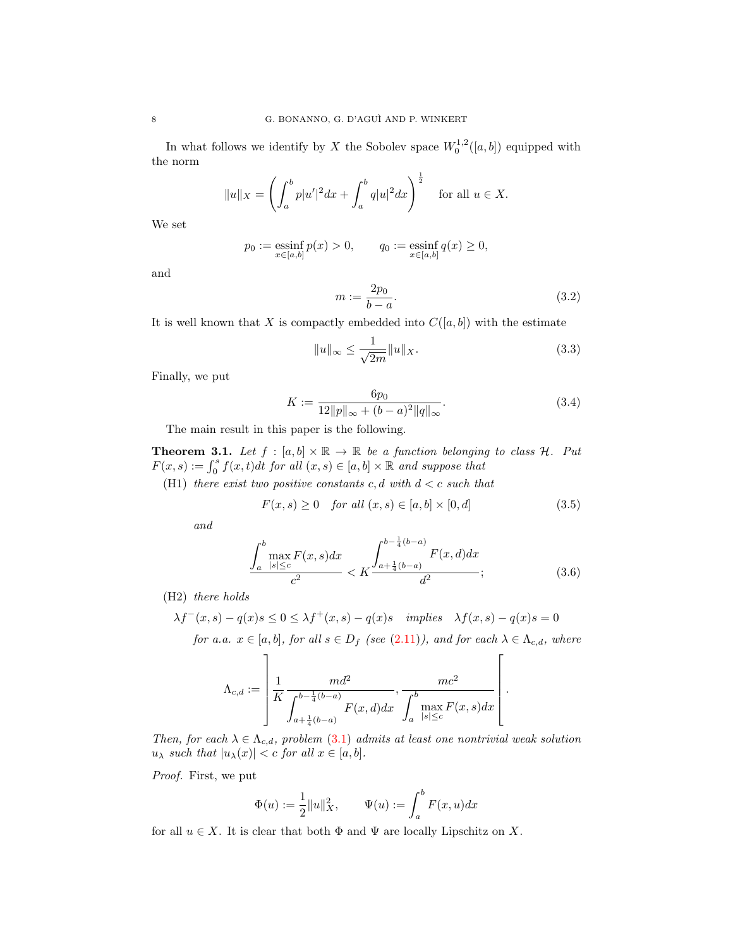In what follows we identify by X the Sobolev space  $W_0^{1,2}([a, b])$  equipped with the norm

$$
||u||_X = \left(\int_a^b p|u'|^2 dx + \int_a^b q|u|^2 dx\right)^{\frac{1}{2}}
$$
 for all  $u \in X$ .

We set

$$
p_0 := \operatorname*{essinf}_{x \in [a,b]} p(x) > 0,
$$
  $q_0 := \operatorname*{essinf}_{x \in [a,b]} q(x) \ge 0,$ 

and

<span id="page-7-4"></span><span id="page-7-3"></span>
$$
m := \frac{2p_0}{b - a}.\tag{3.2}
$$

It is well known that X is compactly embedded into  $C([a, b])$  with the estimate

$$
||u||_{\infty} \le \frac{1}{\sqrt{2m}} ||u||_X. \tag{3.3}
$$

Finally, we put

$$
K := \frac{6p_0}{12||p||_{\infty} + (b-a)^2||q||_{\infty}}.
$$
\n(3.4)

The main result in this paper is the following.

<span id="page-7-0"></span>**Theorem 3.1.** Let  $f : [a, b] \times \mathbb{R} \to \mathbb{R}$  be a function belonging to class H. Put  $F(x, s) := \int_0^s f(x, t)dt$  for all  $(x, s) \in [a, b] \times \mathbb{R}$  and suppose that

(H1) there exist two positive constants c, d with  $d < c$  such that

$$
F(x,s) \ge 0 \quad \text{for all } (x,s) \in [a,b] \times [0,d] \tag{3.5}
$$

and

$$
\frac{\int_{a}^{b} \max_{|s| \leq c} F(x, s) dx}{c^2} < K \frac{\int_{a + \frac{1}{4}(b - a)}^{b - \frac{1}{4}(b - a)} F(x, d) dx}{d^2};\tag{3.6}
$$

<span id="page-7-2"></span><span id="page-7-1"></span>.

(H2) there holds

$$
\lambda f^{-}(x,s) - q(x)s \le 0 \le \lambda f^{+}(x,s) - q(x)s \quad implies \quad \lambda f(x,s) - q(x)s = 0
$$
  
for a.a.  $x \in [a, b]$ , for all  $s \in D_f$  (see (2.11)), and for each  $\lambda \in \Lambda_{c,d}$ , where

$$
\Lambda_{c,d} := \left[ \frac{1}{K} \frac{md^2}{\int_{a + \frac{1}{4}(b-a)}^{b - \frac{1}{4}(b-a)} F(x,d) dx}, \frac{mc^2}{\int_a^b \max_{|s| \le c} F(x,s) dx} \right]
$$

Then, for each  $\lambda \in \Lambda_{c,d}$ , problem [\(3.1\)](#page-6-1) admits at least one nontrivial weak solution  $u_{\lambda}$  such that  $|u_{\lambda}(x)| < c$  for all  $x \in [a, b]$ .

Proof. First, we put

$$
\Phi(u) := \frac{1}{2} ||u||_X^2, \qquad \Psi(u) := \int_a^b F(x, u) dx
$$

for all  $u \in X$ . It is clear that both  $\Phi$  and  $\Psi$  are locally Lipschitz on X.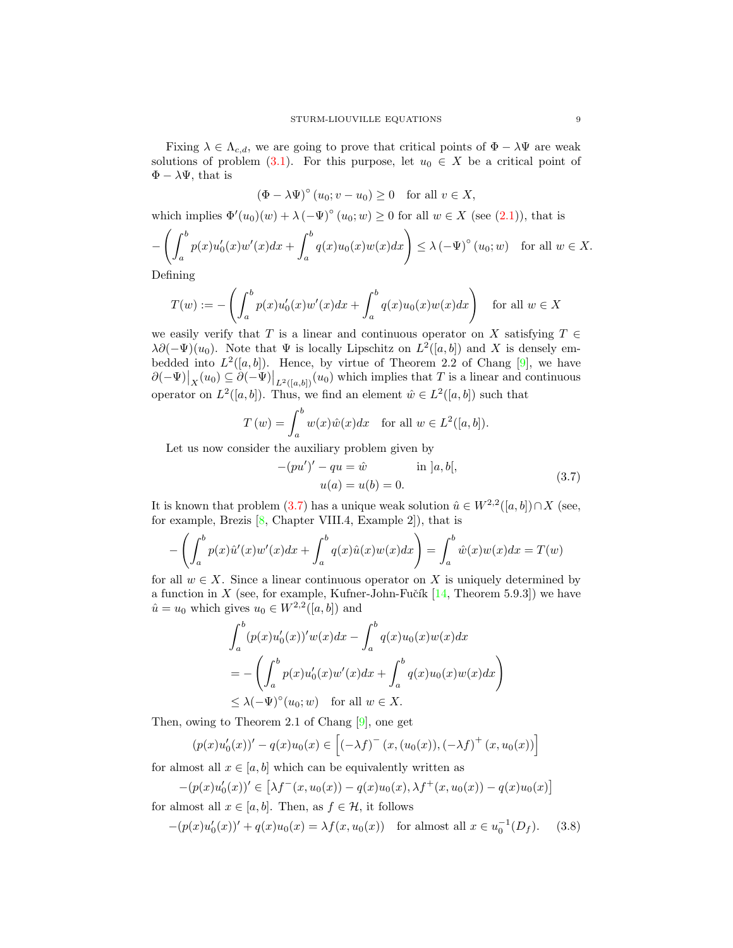Fixing  $\lambda \in \Lambda_{c,d}$ , we are going to prove that critical points of  $\Phi - \lambda \Psi$  are weak solutions of problem [\(3.1\)](#page-6-1). For this purpose, let  $u_0 \in X$  be a critical point of  $\Phi - \lambda \Psi$ , that is

$$
(\Phi - \lambda \Psi)^{\circ} (u_0; v - u_0) \ge 0 \quad \text{for all } v \in X,
$$

which implies  $\Phi'(u_0)(w) + \lambda (-\Psi)^{\circ}(u_0; w) \ge 0$  for all  $w \in X$  (see [\(2.1\)](#page-2-1)), that is

$$
-\left(\int_a^b p(x)u_0'(x)w'(x)dx + \int_a^b q(x)u_0(x)w(x)dx\right) \le \lambda \left(-\Psi\right)^{\circ}(u_0; w) \quad \text{for all } w \in X.
$$

Defining

$$
T(w) := -\left(\int_a^b p(x)u'_0(x)w'(x)dx + \int_a^b q(x)u_0(x)w(x)dx\right) \text{ for all } w \in X
$$

we easily verify that T is a linear and continuous operator on X satisfying  $T \in$  $\lambda \partial(-\Psi)(u_0)$ . Note that  $\Psi$  is locally Lipschitz on  $L^2([a, b])$  and X is densely embedded into  $L^2([a, b])$ . Hence, by virtue of Theorem 2.2 of Chang [\[9\]](#page-14-12), we have  $\partial(-\Psi)|_X(u_0) \subseteq \partial(-\Psi)|_{L^2([a,b])}(u_0)$  which implies that T is a linear and continuous operator on  $L^2([a, b])$ . Thus, we find an element  $\hat{w} \in L^2([a, b])$  such that

$$
T(w) = \int_a^b w(x)\hat{w}(x)dx \quad \text{for all } w \in L^2([a, b]).
$$

Let us now consider the auxiliary problem given by

<span id="page-8-0"></span>
$$
-(pu')' - qu = \hat{w} \qquad \text{in } ]a, b[,
$$
  
 
$$
u(a) = u(b) = 0.
$$
 (3.7)

It is known that problem [\(3.7\)](#page-8-0) has a unique weak solution  $\hat{u} \in W^{2,2}([a,b]) \cap X$  (see, for example, Brezis [\[8,](#page-14-15) Chapter VIII.4, Example 2]), that is

$$
-\left(\int_a^b p(x)\hat{u}'(x)w'(x)dx + \int_a^b q(x)\hat{u}(x)w(x)dx\right) = \int_a^b \hat{w}(x)w(x)dx = T(w)
$$

for all  $w \in X$ . Since a linear continuous operator on X is uniquely determined by a function in X (see, for example, Kufner-John-Fučík  $[14,$  Theorem 5.9.3]) we have  $\hat{u} = u_0$  which gives  $u_0 \in W^{2,2}([a, b])$  and

$$
\int_a^b (p(x)u'_0(x))'w(x)dx - \int_a^b q(x)u_0(x)w(x)dx
$$
  
= 
$$
- \left( \int_a^b p(x)u'_0(x)w'(x)dx + \int_a^b q(x)u_0(x)w(x)dx \right)
$$
  

$$
\leq \lambda (-\Psi)^{\circ}(u_0; w) \text{ for all } w \in X.
$$

Then, owing to Theorem 2.1 of Chang [\[9\]](#page-14-12), one get

<span id="page-8-1"></span>
$$
(p(x)u'_0(x))' - q(x)u_0(x) \in [(-\lambda f)^{-}(x,(u_0(x)), (-\lambda f)^{+}(x,u_0(x))]
$$

for almost all  $x \in [a, b]$  which can be equivalently written as

$$
-(p(x)u'_0(x))' \in \left[\lambda f^-(x, u_0(x)) - q(x)u_0(x), \lambda f^+(x, u_0(x)) - q(x)u_0(x)\right]
$$

for almost all  $x \in [a, b]$ . Then, as  $f \in \mathcal{H}$ , it follows

 $-(p(x)u'_0(x))' + q(x)u_0(x) = \lambda f(x, u_0(x))$  for almost all  $x \in u_0^{-1}(D_f)$ . (3.8)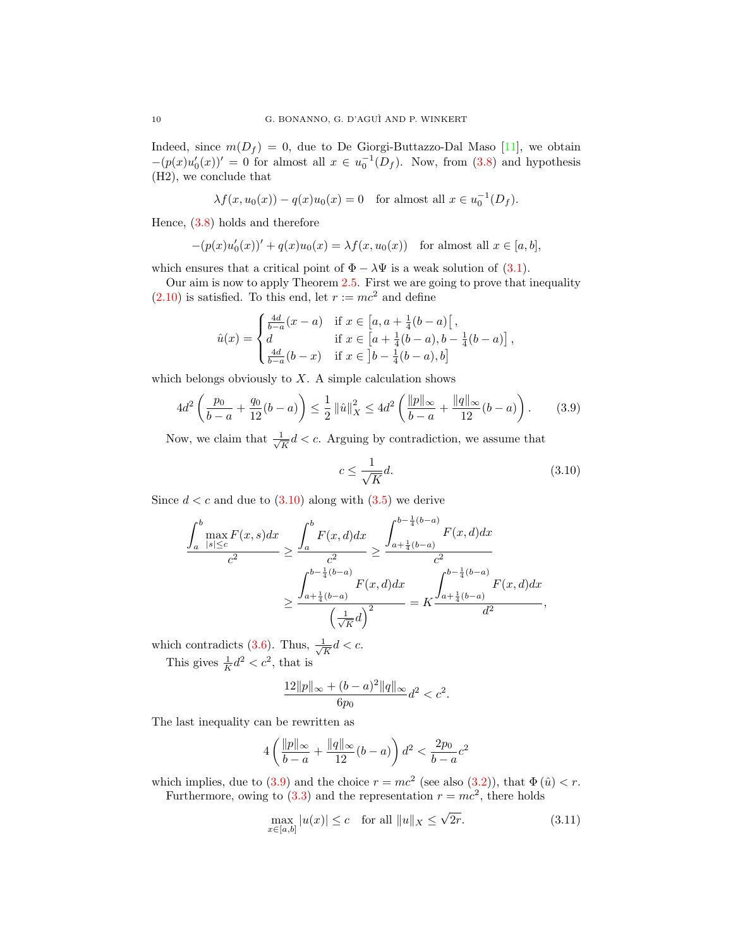Indeed, since  $m(D_f) = 0$ , due to De Giorgi-Buttazzo-Dal Maso [\[11\]](#page-14-17), we obtain  $-(p(x)u_0'(x))' = 0$  for almost all  $x \in u_0^{-1}(D_f)$ . Now, from [\(3.8\)](#page-8-1) and hypothesis (H2), we conclude that

$$
\lambda f(x, u_0(x)) - q(x)u_0(x) = 0
$$
 for almost all  $x \in u_0^{-1}(D_f)$ .

Hence, [\(3.8\)](#page-8-1) holds and therefore

$$
-(p(x)u'_0(x))' + q(x)u_0(x) = \lambda f(x, u_0(x)) \text{ for almost all } x \in [a, b],
$$

which ensures that a critical point of  $\Phi - \lambda \Psi$  is a weak solution of [\(3.1\)](#page-6-1).

Our aim is now to apply Theorem [2.5.](#page-5-0) First we are going to prove that inequality  $(2.10)$  is satisfied. To this end, let  $r := mc^2$  and define

$$
\hat{u}(x) = \begin{cases}\n\frac{4d}{b-a}(x-a) & \text{if } x \in [a, a + \frac{1}{4}(b-a) \, [\, , \\
d & \text{if } x \in [a + \frac{1}{4}(b-a), b - \frac{1}{4}(b-a) \, ] \\
\frac{4d}{b-a}(b-x) & \text{if } x \in [b - \frac{1}{4}(b-a), b]\n\end{cases}
$$

which belongs obviously to  $X$ . A simple calculation shows

$$
4d^2 \left( \frac{p_0}{b-a} + \frac{q_0}{12} (b-a) \right) \le \frac{1}{2} ||\hat{u}||_X^2 \le 4d^2 \left( \frac{||p||_{\infty}}{b-a} + \frac{||q||_{\infty}}{12} (b-a) \right). \tag{3.9}
$$

Now, we claim that  $\frac{1}{\sqrt{2}}$  $\frac{1}{\overline{K}}d < c$ . Arguing by contradiction, we assume that

<span id="page-9-1"></span><span id="page-9-0"></span>
$$
c \le \frac{1}{\sqrt{K}}d.\tag{3.10}
$$

Since  $d < c$  and due to  $(3.10)$  along with  $(3.5)$  we derive

$$
\frac{\int_{a}^{b} \max_{|s| \leq c} F(x, s) dx}{c^{2}} \geq \frac{\int_{a}^{b} F(x, d) dx}{c^{2}} \geq \frac{\int_{a + \frac{1}{4}(b - a)}^{b - \frac{1}{4}(b - a)} F(x, d) dx}{c^{2}}
$$

$$
\geq \frac{\int_{a + \frac{1}{4}(b - a)}^{b - \frac{1}{4}(b - a)} F(x, d) dx}{\left(\frac{1}{\sqrt{K}} d\right)^{2}} = K \frac{\int_{a + \frac{1}{4}(b - a)}^{b - \frac{1}{4}(b - a)} F(x, d) dx}{d^{2}},
$$

which contradicts  $(3.6)$ . Thus,  $\frac{1}{\sqrt{2}}$  $\frac{1}{K}d < c.$ This gives  $\frac{1}{K}d^2 < c^2$ , that is

$$
\frac{12\|p\|_{\infty} + (b-a)^2 \|q\|_{\infty}}{6p_0} d^2 < c^2.
$$

The last inequality can be rewritten as

$$
4\left(\frac{\|p\|_\infty}{b-a} + \frac{\|q\|_\infty}{12}(b-a)\right)d^2 < \frac{2p_0}{b-a}c^2
$$

which implies, due to [\(3.9\)](#page-9-1) and the choice  $r = mc^2$  (see also [\(3.2\)](#page-7-3)), that  $\Phi(\hat{u}) < r$ .

Furthermore, owing to  $(3.3)$  and the representation  $r = mc^2$ , there holds

$$
\max_{x \in [a,b]} |u(x)| \le c \quad \text{for all } ||u||_X \le \sqrt{2r}.\tag{3.11}
$$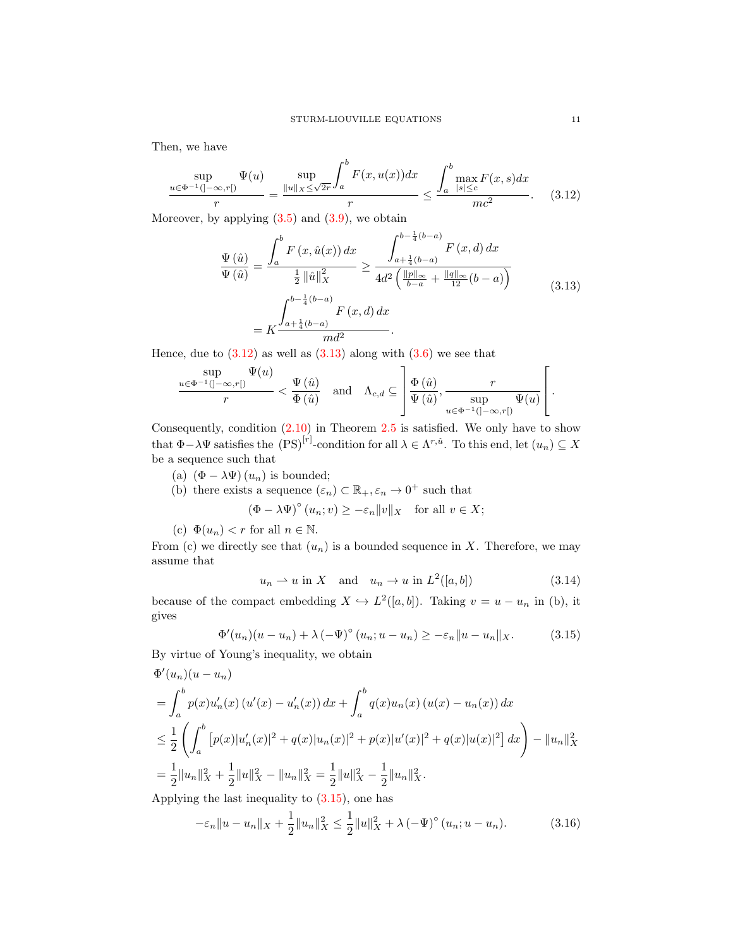Then, we have

$$
\frac{\sup}{u \in \Phi^{-1}(]-\infty, r[)} \frac{\Psi(u)}{r} = \frac{\sup}{\|u\|_{X} \le \sqrt{2r}} \int_{a}^{b} F(x, u(x)) dx}{r} \le \frac{\int_{a}^{b} \max_{|s| \le c} F(x, s) dx}{mc^{2}}.
$$
 (3.12)

Moreover, by applying  $(3.5)$  and  $(3.9)$ , we obtain

<span id="page-10-1"></span><span id="page-10-0"></span>
$$
\frac{\Psi(\hat{u})}{\Psi(\hat{u})} = \frac{\int_{a}^{b} F(x, \hat{u}(x)) dx}{\frac{1}{2} ||\hat{u}||_{X}^{2}} \ge \frac{\int_{a + \frac{1}{4}(b-a)}^{b - \frac{1}{4}(b-a)} F(x, d) dx}{4d^{2} \left( \frac{||p||_{\infty}}{b-a} + \frac{||q||_{\infty}}{12}(b-a) \right)}
$$
\n
$$
= K \frac{\int_{a + \frac{1}{4}(b-a)}^{b - \frac{1}{4}(b-a)} F(x, d) dx}{m d^{2}}.
$$
\n(3.13)

Hence, due to  $(3.12)$  as well as  $(3.13)$  along with  $(3.6)$  we see that

$$
\frac{\sup}{r} \frac{\Psi(u)}{r} < \frac{\Psi(\hat{u})}{\Phi(\hat{u})} \quad \text{and} \quad \Lambda_{c,d} \subseteq \left[ \frac{\Phi(\hat{u})}{\Psi(\hat{u})}, \frac{r}{\sup} \frac{\Psi(u)}{\sup} \frac{\Psi(u)}{\Psi(u)} \right].
$$

Consequently, condition  $(2.10)$  in Theorem [2.5](#page-5-0) is satisfied. We only have to show that  $\Phi - \lambda \Psi$  satisfies the  $(PS)^{[r]}$ -condition for all  $\lambda \in \Lambda^{r,\hat{u}}$ . To this end, let  $(u_n) \subseteq X$ be a sequence such that

(a)  $(\Phi - \lambda \Psi)(u_n)$  is bounded;

(b) there exists a sequence 
$$
(\varepsilon_n) \subset \mathbb{R}_+, \varepsilon_n \to 0^+
$$
 such that  
\n
$$
(\Phi - \lambda \Psi)^{\circ}(u_n; v) \ge -\varepsilon_n ||v||_X \quad \text{for all } v \in X;
$$

(c)  $\Phi(u_n) < r$  for all  $n \in \mathbb{N}$ .

From (c) we directly see that  $(u_n)$  is a bounded sequence in X. Therefore, we may assume that

<span id="page-10-4"></span><span id="page-10-2"></span>
$$
u_n \rightharpoonup u \text{ in } X \quad \text{and} \quad u_n \to u \text{ in } L^2([a, b]) \tag{3.14}
$$

because of the compact embedding  $X \hookrightarrow L^2([a, b])$ . Taking  $v = u - u_n$  in (b), it gives

$$
\Phi'(u_n)(u - u_n) + \lambda \left(-\Psi\right)^{\circ}(u_n; u - u_n) \geq -\varepsilon_n \|u - u_n\|_X. \tag{3.15}
$$

By virtue of Young's inequality, we obtain

$$
\Phi'(u_n)(u - u_n)
$$
\n
$$
= \int_a^b p(x)u'_n(x) (u'(x) - u'_n(x)) dx + \int_a^b q(x)u_n(x) (u(x) - u_n(x)) dx
$$
\n
$$
\leq \frac{1}{2} \left( \int_a^b [p(x)|u'_n(x)|^2 + q(x)|u_n(x)|^2 + p(x)|u'(x)|^2 + q(x)|u(x)|^2 \right) dx - \|u_n\|_X^2
$$
\n
$$
= \frac{1}{2} \|u_n\|_X^2 + \frac{1}{2} \|u\|_X^2 - \|u_n\|_X^2 = \frac{1}{2} \|u\|_X^2 - \frac{1}{2} \|u_n\|_X^2.
$$
\nApplying the last inequality to (3.15) one has

Applying the last inequality to [\(3.15\)](#page-10-2), one has

<span id="page-10-3"></span>
$$
-\varepsilon_n \|u - u_n\|_X + \frac{1}{2} \|u_n\|_X^2 \le \frac{1}{2} \|u\|_X^2 + \lambda \left(-\Psi\right)^\circ (u_n; u - u_n). \tag{3.16}
$$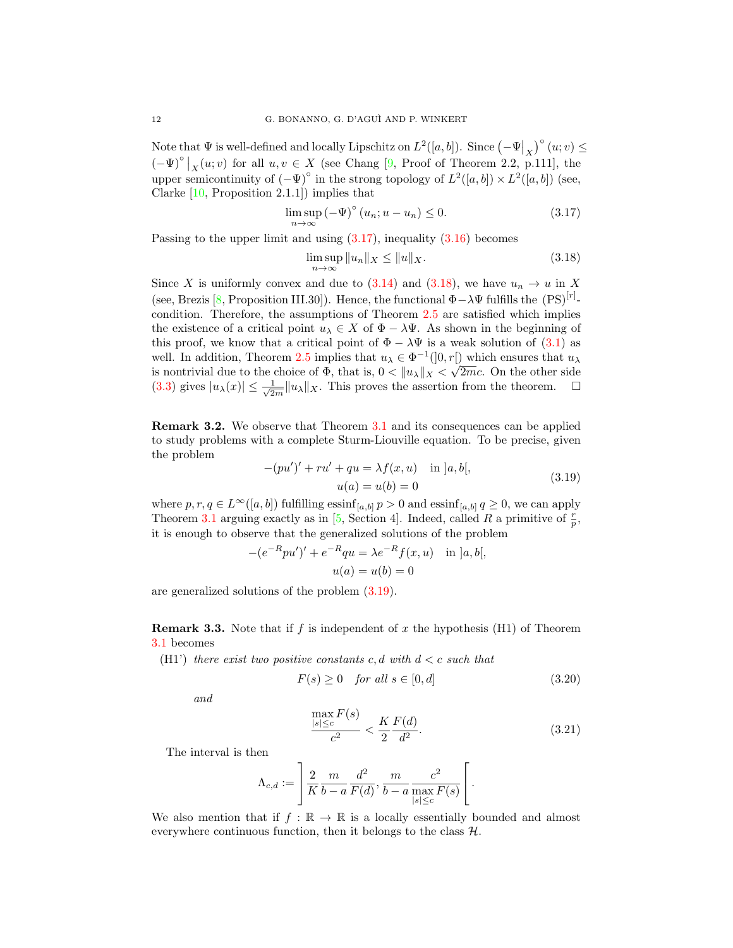Note that  $\Psi$  is well-defined and locally Lipschitz on  $L^2([a, b])$ . Since  $(-\Psi|_X)^{\circ}(u; v) \leq$  $(-\Psi)^{\circ}|_{X}(u; v)$  for all  $u, v \in X$  (see Chang [\[9,](#page-14-12) Proof of Theorem 2.2, p.111], the upper semicontinuity of  $(-\Psi)^\circ$  in the strong topology of  $L^2([a,b]) \times L^2([a,b])$  (see, Clarke [\[10,](#page-14-11) Proposition 2.1.1]) implies that

$$
\limsup_{n \to \infty} \left(-\Psi\right)^{\circ} \left(u_n; u - u_n\right) \le 0. \tag{3.17}
$$

Passing to the upper limit and using  $(3.17)$ , inequality  $(3.16)$  becomes

<span id="page-11-1"></span><span id="page-11-0"></span>
$$
\limsup_{n \to \infty} \|u_n\|_X \le \|u\|_X. \tag{3.18}
$$

Since X is uniformly convex and due to [\(3.14\)](#page-10-4) and [\(3.18\)](#page-11-1), we have  $u_n \to u$  in X (see, Brezis [\[8,](#page-14-15) Proposition III.30]). Hence, the functional  $\Phi - \lambda \Psi$  fulfills the  $(PS)^{[r]}$ condition. Therefore, the assumptions of Theorem [2.5](#page-5-0) are satisfied which implies the existence of a critical point  $u_\lambda \in X$  of  $\Phi - \lambda \Psi$ . As shown in the beginning of this proof, we know that a critical point of  $\Phi - \lambda \Psi$  is a weak solution of [\(3.1\)](#page-6-1) as well. In addition, Theorem [2.5](#page-5-0) implies that  $u_{\lambda} \in \Phi^{-1}(0, r)$  which ensures that  $u_{\lambda}$ is nontrivial due to the choice of  $\Phi$ , that is,  $0 < ||u_{\lambda}||_X < \sqrt{2mc}$ . On the other side  $(3.3)$  gives  $|u_\lambda(x)| \leq \frac{1}{\sqrt{2}}$  $\frac{1}{2m}||u_\lambda||_X$ . This proves the assertion from the theorem.  $\square$ 

Remark 3.2. We observe that Theorem [3.1](#page-7-0) and its consequences can be applied to study problems with a complete Sturm-Liouville equation. To be precise, given the problem

<span id="page-11-2"></span>
$$
-(pu')' + ru' + qu = \lambda f(x, u) \quad \text{in } ]a, b[,
$$
  

$$
u(a) = u(b) = 0
$$
 (3.19)

where  $p, r, q \in L^{\infty}([a, b])$  fulfilling  $\operatorname{essinf}_{[a, b]} p > 0$  and  $\operatorname{essinf}_{[a, b]} q \geq 0$ , we can apply Theorem [3.1](#page-7-0) arguing exactly as in [\[5,](#page-14-18) Section 4]. Indeed, called R a primitive of  $\frac{r}{p}$ , it is enough to observe that the generalized solutions of the problem

$$
-(e^{-R}pu')' + e^{-R}qu = \lambda e^{-R}f(x, u) \text{ in } ]a, b[,
$$
  

$$
u(a) = u(b) = 0
$$

are generalized solutions of the problem [\(3.19\)](#page-11-2).

<span id="page-11-3"></span>**Remark 3.3.** Note that if f is independent of x the hypothesis (H1) of Theorem [3.1](#page-7-0) becomes

(H1') there exist two positive constants c, d with  $d < c$  such that

$$
F(s) \ge 0 \quad \text{for all } s \in [0, d] \tag{3.20}
$$

and

$$
\frac{\max_{|s| \le c} F(s)}{c^2} < \frac{K}{2} \frac{F(d)}{d^2}.\tag{3.21}
$$

The interval is then

$$
\Lambda_{c,d} := \left[ \frac{2}{K} \frac{m}{b-a} \frac{d^2}{F(d)}, \frac{m}{b-a} \frac{c^2}{\max_{|s| \le c} F(s)} \right].
$$

We also mention that if  $f : \mathbb{R} \to \mathbb{R}$  is a locally essentially bounded and almost everywhere continuous function, then it belongs to the class  $H$ .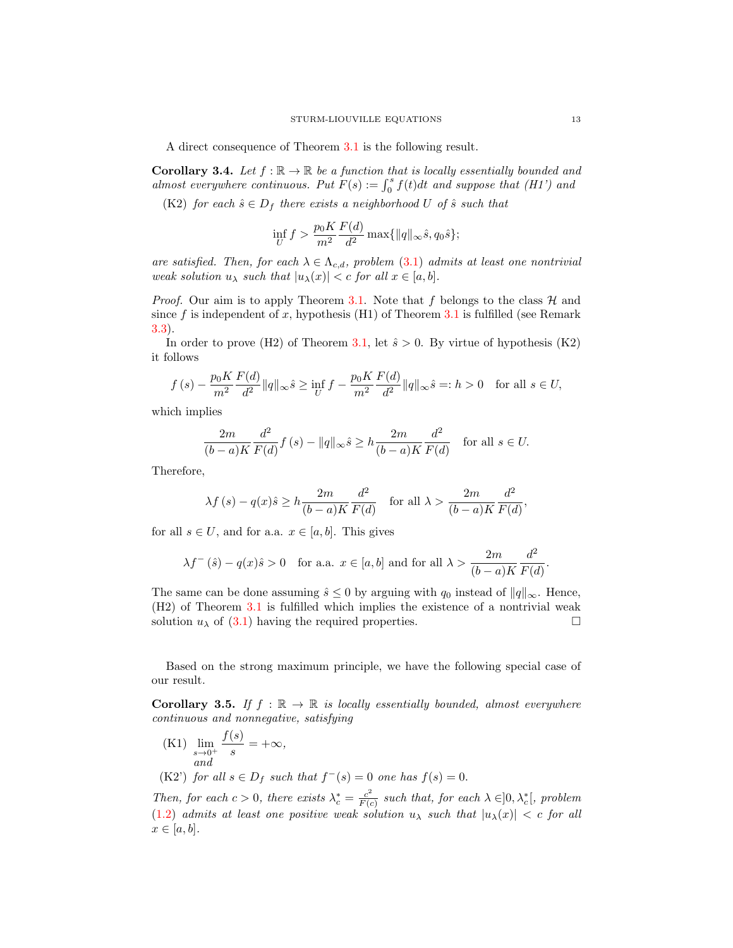A direct consequence of Theorem [3.1](#page-7-0) is the following result.

<span id="page-12-1"></span>**Corollary 3.4.** Let  $f : \mathbb{R} \to \mathbb{R}$  be a function that is locally essentially bounded and almost everywhere continuous. Put  $F(s) := \int_0^s f(t)dt$  and suppose that (H1') and

(K2) for each  $\hat{s} \in D_f$  there exists a neighborhood U of  $\hat{s}$  such that

$$
\inf_{U} f > \frac{p_0 K}{m^2} \frac{F(d)}{d^2} \max\{||q||_{\infty} \hat{s}, q_0 \hat{s}\};
$$

are satisfied. Then, for each  $\lambda \in \Lambda_{c,d}$ , problem [\(3.1\)](#page-6-1) admits at least one nontrivial weak solution  $u_{\lambda}$  such that  $|u_{\lambda}(x)| < c$  for all  $x \in [a, b]$ .

*Proof.* Our aim is to apply Theorem [3.1.](#page-7-0) Note that f belongs to the class  $\mathcal{H}$  and since f is independent of x, hypothesis  $(H1)$  of Theorem [3.1](#page-7-0) is fulfilled (see Remark [3.3\)](#page-11-3).

In order to prove (H2) of Theorem [3.1,](#page-7-0) let  $\hat{s} > 0$ . By virtue of hypothesis (K2) it follows

$$
f(s) - \frac{p_0 K}{m^2} \frac{F(d)}{d^2} \|q\|_{\infty} \hat{s} \ge \inf_{U} f - \frac{p_0 K}{m^2} \frac{F(d)}{d^2} \|q\|_{\infty} \hat{s} =: h > 0 \quad \text{for all } s \in U,
$$

which implies

$$
\frac{2m}{(b-a)K}\frac{d^2}{F(d)}f(s) - \|q\|_{\infty}\hat{s} \ge h\frac{2m}{(b-a)K}\frac{d^2}{F(d)} \quad \text{for all } s \in U.
$$

Therefore,

$$
\lambda f(s) - q(x)\hat{s} \ge h \frac{2m}{(b-a)K} \frac{d^2}{F(d)} \quad \text{for all } \lambda > \frac{2m}{(b-a)K} \frac{d^2}{F(d)},
$$

for all  $s \in U$ , and for a.a.  $x \in [a, b]$ . This gives

$$
\lambda f^{-}(\hat{s}) - q(x)\hat{s} > 0
$$
 for a.a.  $x \in [a, b]$  and for all  $\lambda > \frac{2m}{(b-a)K} \frac{d^2}{F(d)}$ .

The same can be done assuming  $\hat{s} \leq 0$  by arguing with  $q_0$  instead of  $||q||_{\infty}$ . Hence, (H2) of Theorem [3.1](#page-7-0) is fulfilled which implies the existence of a nontrivial weak solution  $u_{\lambda}$  of [\(3.1\)](#page-6-1) having the required properties.

Based on the strong maximum principle, we have the following special case of our result.

<span id="page-12-0"></span>**Corollary 3.5.** If  $f : \mathbb{R} \to \mathbb{R}$  is locally essentially bounded, almost everywhere continuous and nonnegative, satisfying

 $(K1)$   $\lim_{s\to 0^+}$  $f(s)$  $\frac{y}{s} = +\infty$ , and (K2') for all  $s \in D_f$  such that  $f^-(s) = 0$  one has  $f(s) = 0$ .

Then, for each  $c > 0$ , there exists  $\lambda_c^* = \frac{c^2}{F(c)}$  $\frac{c^2}{F(c)}$  such that, for each  $\lambda \in ]0, \lambda_c^*[$ , problem [\(1.2\)](#page-1-1) admits at least one positive weak solution  $u_{\lambda}$  such that  $|u_{\lambda}(x)| < c$  for all  $x \in [a, b].$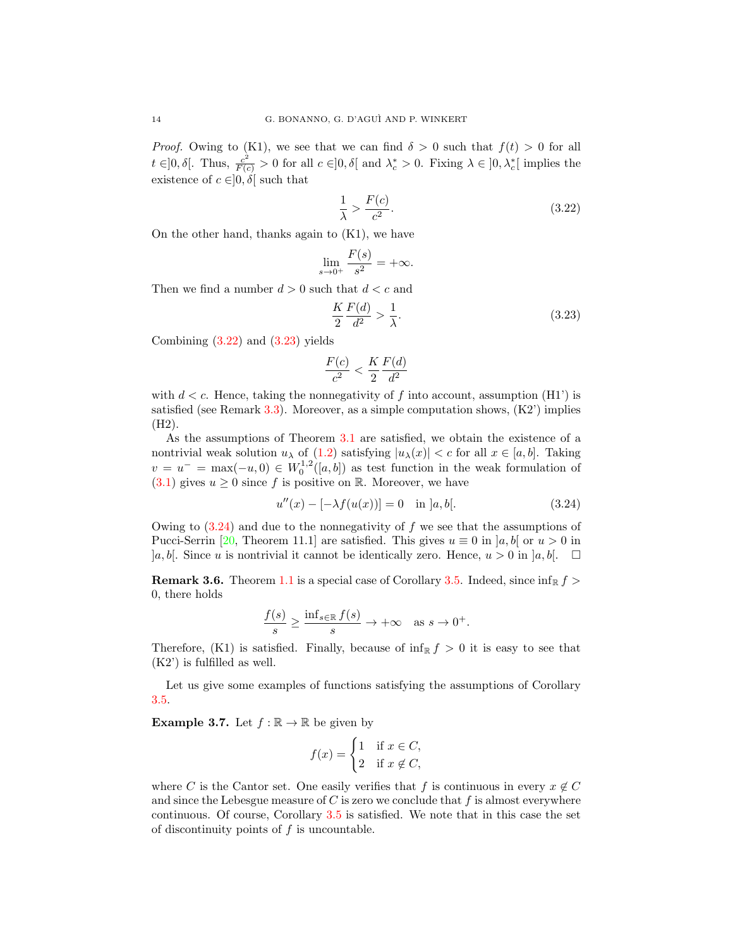*Proof.* Owing to (K1), we see that we can find  $\delta > 0$  such that  $f(t) > 0$  for all  $t \in ]0, \delta[$ . Thus,  $\frac{c^2}{F(c)} > 0$  for all  $c \in ]0, \delta[$  and  $\lambda_c^* > 0$ . Fixing  $\lambda \in ]0, \lambda_c^*[$  implies the existence of  $c \in ]0, \delta[$  such that

<span id="page-13-2"></span>
$$
\frac{1}{\lambda} > \frac{F(c)}{c^2}.\tag{3.22}
$$

On the other hand, thanks again to  $(K1)$ , we have

$$
\lim_{s \to 0^+} \frac{F(s)}{s^2} = +\infty.
$$

Then we find a number  $d > 0$  such that  $d < c$  and

<span id="page-13-3"></span>
$$
\frac{K}{2}\frac{F(d)}{d^2} > \frac{1}{\lambda}.\tag{3.23}
$$

Combining  $(3.22)$  and  $(3.23)$  yields

<span id="page-13-4"></span>
$$
\frac{F(c)}{c^2} < \frac{K}{2} \frac{F(d)}{d^2}
$$

with  $d < c$ . Hence, taking the nonnegativity of f into account, assumption (H1') is satisfied (see Remark [3.3\)](#page-11-3). Moreover, as a simple computation shows,  $(K2)$  implies (H2).

As the assumptions of Theorem [3.1](#page-7-0) are satisfied, we obtain the existence of a nontrivial weak solution  $u_\lambda$  of [\(1.2\)](#page-1-1) satisfying  $|u_\lambda(x)| < c$  for all  $x \in [a, b]$ . Taking  $v = u^{-} = \max(-u, 0) \in W_0^{1,2}([a, b])$  as test function in the weak formulation of  $(3.1)$  gives  $u \geq 0$  since f is positive on R. Moreover, we have

$$
u''(x) - [-\lambda f(u(x))] = 0 \quad \text{in } ]a, b[.
$$
 (3.24)

Owing to  $(3.24)$  and due to the nonnegativity of f we see that the assumptions of Pucci-Serrin [\[20,](#page-15-4) Theorem 11.1] are satisfied. This gives  $u \equiv 0$  in  $[a, b]$  or  $u > 0$  in  $[a, b]$ . Since u is nontrivial it cannot be identically zero. Hence,  $u > 0$  in  $[a, b]$ .  $\square$ 

<span id="page-13-0"></span>**Remark 3.6.** Theorem [1.1](#page-1-2) is a special case of Corollary [3.5.](#page-12-0) Indeed, since  $\inf_{\mathbb{R}} f$ 0, there holds

$$
\frac{f(s)}{s} \ge \frac{\inf_{s \in \mathbb{R}} f(s)}{s} \to +\infty \quad \text{as } s \to 0^+.
$$

Therefore, (K1) is satisfied. Finally, because of  $\inf_{\mathbb{R}} f > 0$  it is easy to see that (K2') is fulfilled as well.

Let us give some examples of functions satisfying the assumptions of Corollary [3.5.](#page-12-0)

<span id="page-13-1"></span>**Example 3.7.** Let  $f : \mathbb{R} \to \mathbb{R}$  be given by

$$
f(x) = \begin{cases} 1 & \text{if } x \in C, \\ 2 & \text{if } x \notin C, \end{cases}
$$

where C is the Cantor set. One easily verifies that f is continuous in every  $x \notin C$ and since the Lebesgue measure of  $C$  is zero we conclude that  $f$  is almost everywhere continuous. Of course, Corollary [3.5](#page-12-0) is satisfied. We note that in this case the set of discontinuity points of  $f$  is uncountable.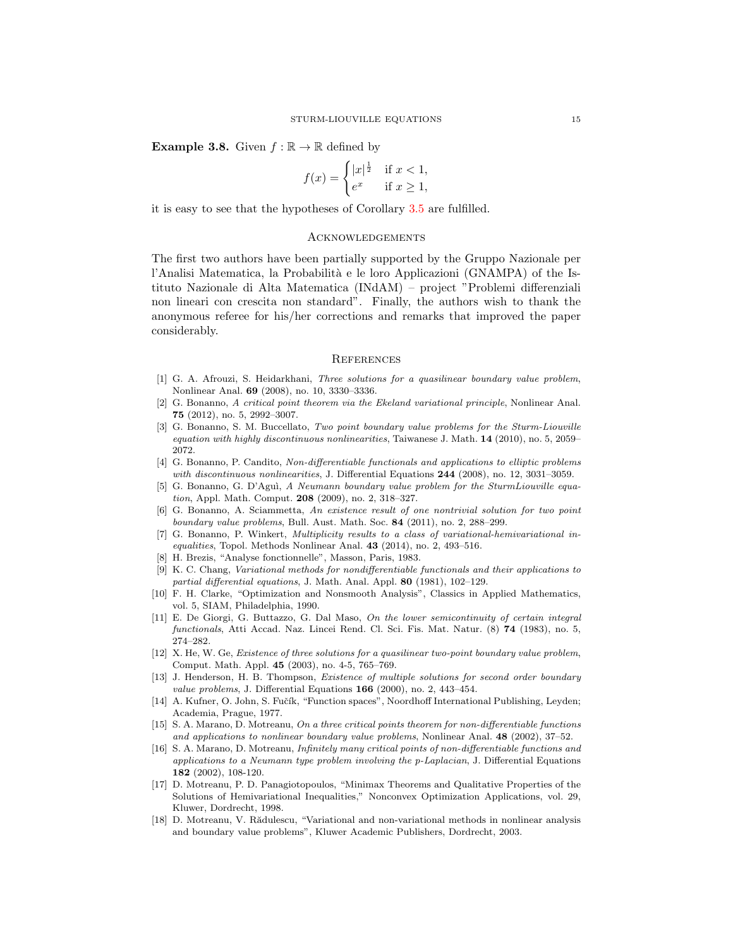<span id="page-14-10"></span>**Example 3.8.** Given  $f : \mathbb{R} \to \mathbb{R}$  defined by

$$
f(x) = \begin{cases} |x|^{\frac{1}{2}} & \text{if } x < 1, \\ e^x & \text{if } x \ge 1, \end{cases}
$$

it is easy to see that the hypotheses of Corollary [3.5](#page-12-0) are fulfilled.

## **ACKNOWLEDGEMENTS**

The first two authors have been partially supported by the Gruppo Nazionale per l'Analisi Matematica, la Probabilità e le loro Applicazioni (GNAMPA) of the Istituto Nazionale di Alta Matematica (INdAM) – project "Problemi differenziali non lineari con crescita non standard". Finally, the authors wish to thank the anonymous referee for his/her corrections and remarks that improved the paper considerably.

#### **REFERENCES**

- <span id="page-14-5"></span>[1] G. A. Afrouzi, S. Heidarkhani, Three solutions for a quasilinear boundary value problem, Nonlinear Anal. 69 (2008), no. 10, 3330–3336.
- <span id="page-14-4"></span>[2] G. Bonanno, A critical point theorem via the Ekeland variational principle, Nonlinear Anal. 75 (2012), no. 5, 2992–3007.
- <span id="page-14-6"></span>[3] G. Bonanno, S. M. Buccellato, Two point boundary value problems for the Sturm-Liouville equation with highly discontinuous nonlinearities, Taiwanese J. Math. 14 (2010), no. 5, 2059– 2072.
- <span id="page-14-3"></span>[4] G. Bonanno, P. Candito, Non-differentiable functionals and applications to elliptic problems with discontinuous nonlinearities, J. Differential Equations 244 (2008), no. 12, 3031-3059.
- <span id="page-14-18"></span>[5] G. Bonanno, G. D'Aguì, A Neumann boundary value problem for the SturmLiouville equation, Appl. Math. Comput. **208** (2009), no. 2, 318-327.
- <span id="page-14-7"></span>[6] G. Bonanno, A. Sciammetta, An existence result of one nontrivial solution for two point boundary value problems, Bull. Aust. Math. Soc. 84 (2011), no. 2, 288–299.
- <span id="page-14-14"></span>[7] G. Bonanno, P. Winkert, Multiplicity results to a class of variational-hemivariational inequalities, Topol. Methods Nonlinear Anal. 43 (2014), no. 2, 493–516.
- <span id="page-14-15"></span>[8] H. Brezis, "Analyse fonctionnelle", Masson, Paris, 1983.
- <span id="page-14-12"></span>[9] K. C. Chang, Variational methods for nondifferentiable functionals and their applications to partial differential equations, J. Math. Anal. Appl. 80 (1981), 102–129.
- <span id="page-14-11"></span>[10] F. H. Clarke, "Optimization and Nonsmooth Analysis", Classics in Applied Mathematics, vol. 5, SIAM, Philadelphia, 1990.
- <span id="page-14-17"></span>[11] E. De Giorgi, G. Buttazzo, G. Dal Maso, On the lower semicontinuity of certain integral functionals, Atti Accad. Naz. Lincei Rend. Cl. Sci. Fis. Mat. Natur. (8) 74 (1983), no. 5, 274–282.
- <span id="page-14-8"></span>[12] X. He, W. Ge, Existence of three solutions for a quasilinear two-point boundary value problem, Comput. Math. Appl. 45 (2003), no. 4-5, 765–769.
- <span id="page-14-9"></span>[13] J. Henderson, H. B. Thompson, *Existence of multiple solutions for second order boundary* value problems, J. Differential Equations  $166$  (2000), no. 2, 443-454.
- <span id="page-14-16"></span>[14] A. Kufner, O. John, S. Fučík, "Function spaces", Noordhoff International Publishing, Leyden; Academia, Prague, 1977.
- <span id="page-14-1"></span>[15] S. A. Marano, D. Motreanu, On a three critical points theorem for non-differentiable functions and applications to nonlinear boundary value problems, Nonlinear Anal. 48 (2002), 37–52.
- <span id="page-14-2"></span>[16] S. A. Marano, D. Motreanu, Infinitely many critical points of non-differentiable functions and applications to a Neumann type problem involving the p-Laplacian, J. Differential Equations 182 (2002), 108-120.
- <span id="page-14-0"></span>[17] D. Motreanu, P. D. Panagiotopoulos, "Minimax Theorems and Qualitative Properties of the Solutions of Hemivariational Inequalities," Nonconvex Optimization Applications, vol. 29, Kluwer, Dordrecht, 1998.
- <span id="page-14-13"></span>[18] D. Motreanu, V. Rădulescu, "Variational and non-variational methods in nonlinear analysis and boundary value problems", Kluwer Academic Publishers, Dordrecht, 2003.